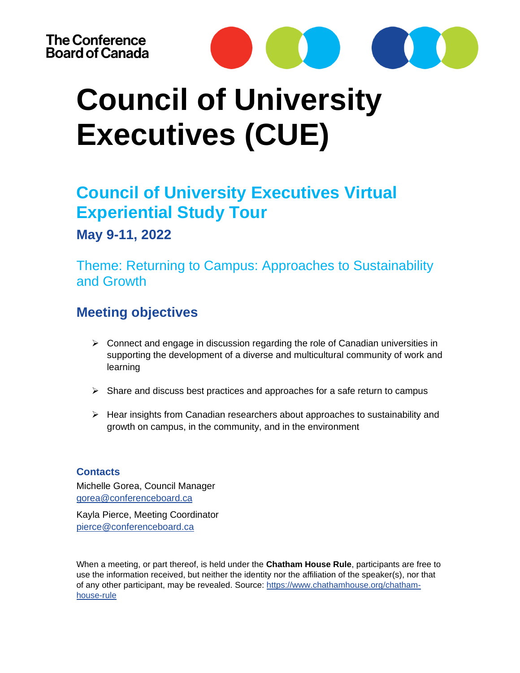

### **Council of University Executives Virtual Experiential Study Tour**

### **May 9-11, 2022**

Theme: Returning to Campus: Approaches to Sustainability and Growth

### **Meeting objectives**

- $\triangleright$  Connect and engage in discussion regarding the role of Canadian universities in supporting the development of a diverse and multicultural community of work and learning
- $\triangleright$  Share and discuss best practices and approaches for a safe return to campus
- ➢ Hear insights from Canadian researchers about approaches to sustainability and growth on campus, in the community, and in the environment

#### **Contacts**

Michelle Gorea, Council Manager [gorea@conferenceboard.ca](mailto:gorea@conferenceboard.ca)

Kayla Pierce, Meeting Coordinator [pierce@conferenceboard.ca](mailto:pierce@conferenceboard.ca)

When a meeting, or part thereof, is held under the **Chatham House Rule**, participants are free to use the information received, but neither the identity nor the affiliation of the speaker(s), nor that of any other participant, may be revealed. Source: [https://www.chathamhouse.org/chatham](https://www.chathamhouse.org/chatham-house-rule)[house-rule](https://www.chathamhouse.org/chatham-house-rule)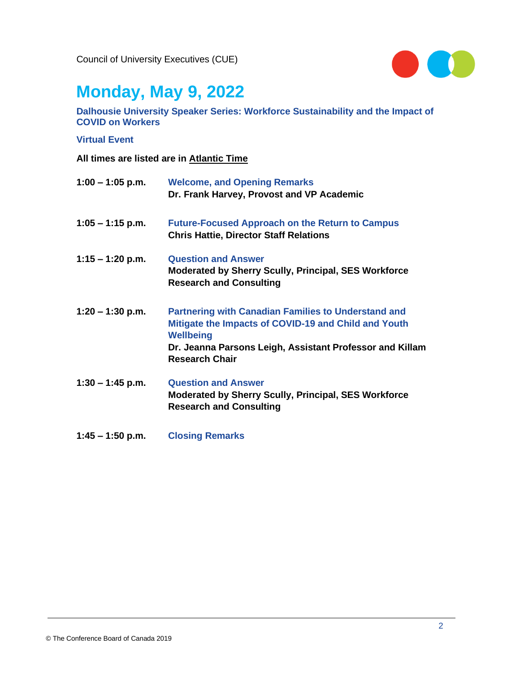

# **Monday, May 9, 2022**

**Dalhousie University Speaker Series: Workforce Sustainability and the Impact of COVID on Workers** 

#### **Virtual Event**

| $1:00 - 1:05$ p.m. | <b>Welcome, and Opening Remarks</b><br>Dr. Frank Harvey, Provost and VP Academic                                                                                                                                            |
|--------------------|-----------------------------------------------------------------------------------------------------------------------------------------------------------------------------------------------------------------------------|
| $1:05 - 1:15$ p.m. | <b>Future-Focused Approach on the Return to Campus</b><br><b>Chris Hattie, Director Staff Relations</b>                                                                                                                     |
| $1:15 - 1:20$ p.m. | <b>Question and Answer</b><br><b>Moderated by Sherry Scully, Principal, SES Workforce</b><br><b>Research and Consulting</b>                                                                                                 |
| $1:20 - 1:30$ p.m. | <b>Partnering with Canadian Families to Understand and</b><br>Mitigate the Impacts of COVID-19 and Child and Youth<br><b>Wellbeing</b><br>Dr. Jeanna Parsons Leigh, Assistant Professor and Killam<br><b>Research Chair</b> |
| $1:30 - 1:45$ p.m. | <b>Question and Answer</b><br><b>Moderated by Sherry Scully, Principal, SES Workforce</b><br><b>Research and Consulting</b>                                                                                                 |
| $1:45 - 1:50$ p.m. | <b>Closing Remarks</b>                                                                                                                                                                                                      |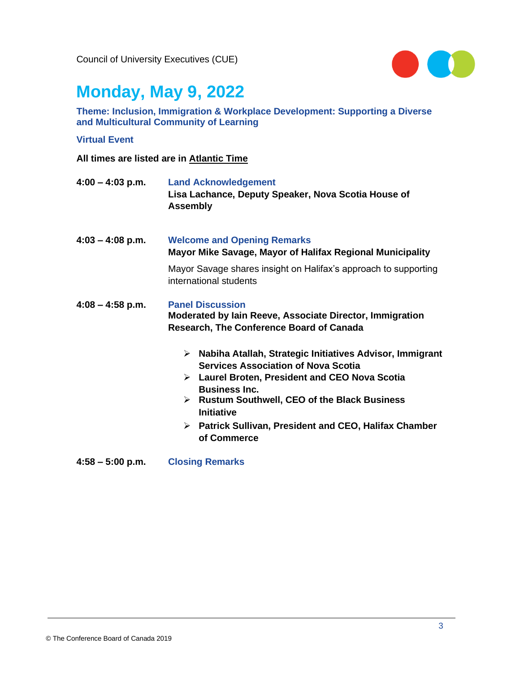

### **Monday, May 9, 2022**

**Theme: Inclusion, Immigration & Workplace Development: Supporting a Diverse and Multicultural Community of Learning** 

#### **Virtual Event**

- **4:00 – 4:03 p.m. Land Acknowledgement Lisa Lachance, Deputy Speaker, Nova Scotia House of Assembly**
- **4:03 – 4:08 p.m. Welcome and Opening Remarks Mayor Mike Savage, Mayor of Halifax Regional Municipality** Mayor Savage shares insight on Halifax's approach to supporting international students
- **4:08 – 4:58 p.m. Panel Discussion Moderated by Iain Reeve, Associate Director, Immigration Research, The Conference Board of Canada**
	- ➢ **Nabiha Atallah, Strategic Initiatives Advisor, Immigrant Services Association of Nova Scotia**
	- ➢ **Laurel Broten, President and CEO Nova Scotia Business Inc.**
	- ➢ **Rustum Southwell, CEO of the Black Business Initiative**
	- ➢ **Patrick Sullivan, President and CEO, Halifax Chamber of Commerce**
- **4:58 – 5:00 p.m. Closing Remarks**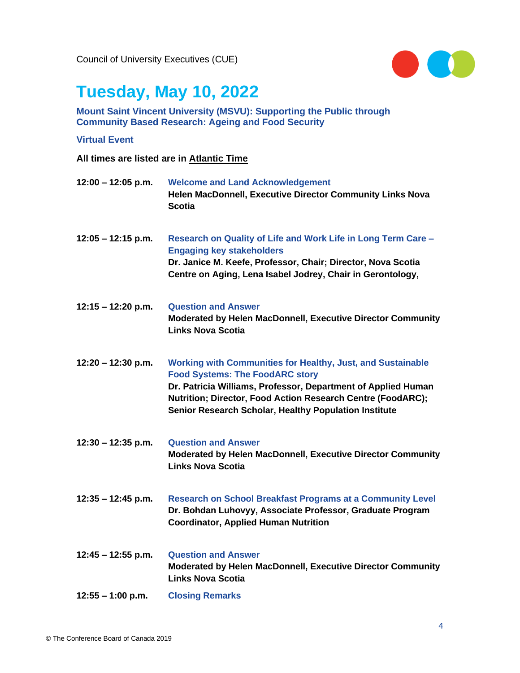

# **Tuesday, May 10, 2022**

#### **Mount Saint Vincent University (MSVU): Supporting the Public through Community Based Research: Ageing and Food Security**

#### **Virtual Event**

| $12:00 - 12:05$ p.m. | <b>Welcome and Land Acknowledgement</b><br>Helen MacDonnell, Executive Director Community Links Nova<br><b>Scotia</b>                                                                                                                                                                                 |
|----------------------|-------------------------------------------------------------------------------------------------------------------------------------------------------------------------------------------------------------------------------------------------------------------------------------------------------|
| $12:05 - 12:15$ p.m. | Research on Quality of Life and Work Life in Long Term Care -<br><b>Engaging key stakeholders</b><br>Dr. Janice M. Keefe, Professor, Chair; Director, Nova Scotia<br>Centre on Aging, Lena Isabel Jodrey, Chair in Gerontology,                                                                       |
| $12:15 - 12:20$ p.m. | <b>Question and Answer</b><br>Moderated by Helen MacDonnell, Executive Director Community<br><b>Links Nova Scotia</b>                                                                                                                                                                                 |
| $12:20 - 12:30$ p.m. | <b>Working with Communities for Healthy, Just, and Sustainable</b><br><b>Food Systems: The FoodARC story</b><br>Dr. Patricia Williams, Professor, Department of Applied Human<br>Nutrition; Director, Food Action Research Centre (FoodARC);<br>Senior Research Scholar, Healthy Population Institute |
| $12:30 - 12:35$ p.m. | <b>Question and Answer</b><br>Moderated by Helen MacDonnell, Executive Director Community<br><b>Links Nova Scotia</b>                                                                                                                                                                                 |
| $12:35 - 12:45$ p.m. | Research on School Breakfast Programs at a Community Level<br>Dr. Bohdan Luhovyy, Associate Professor, Graduate Program<br><b>Coordinator, Applied Human Nutrition</b>                                                                                                                                |
| $12:45 - 12:55$ p.m. | <b>Question and Answer</b><br>Moderated by Helen MacDonnell, Executive Director Community<br><b>Links Nova Scotia</b>                                                                                                                                                                                 |
| $12:55 - 1:00$ p.m.  | <b>Closing Remarks</b>                                                                                                                                                                                                                                                                                |